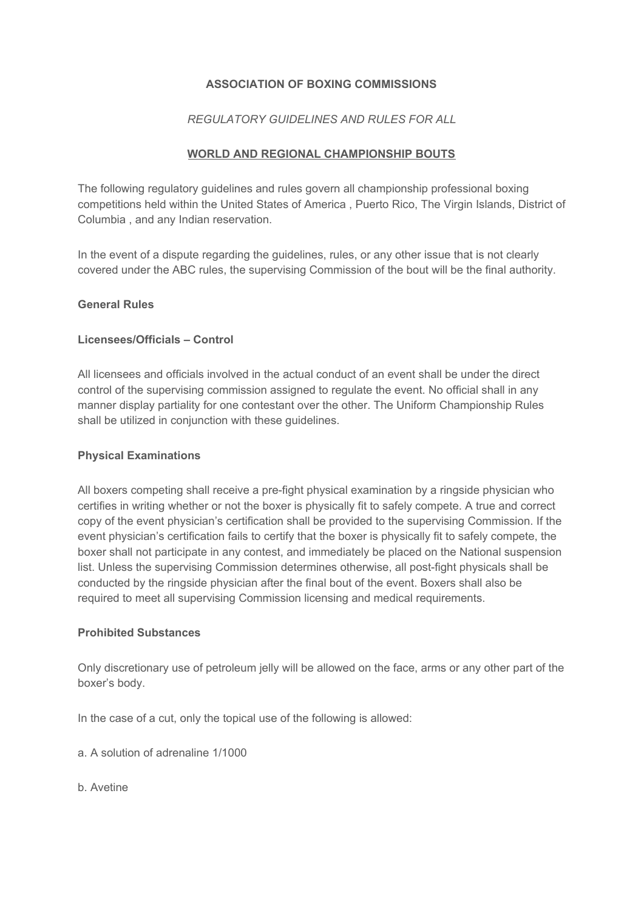# **ASSOCIATION OF BOXING COMMISSIONS**

# *REGULATORY GUIDELINES AND RULES FOR ALL*

### **WORLD AND REGIONAL CHAMPIONSHIP BOUTS**

The following regulatory guidelines and rules govern all championship professional boxing competitions held within the United States of America , Puerto Rico, The Virgin Islands, District of Columbia , and any Indian reservation.

In the event of a dispute regarding the guidelines, rules, or any other issue that is not clearly covered under the ABC rules, the supervising Commission of the bout will be the final authority.

#### **General Rules**

### **Licensees/Officials – Control**

All licensees and officials involved in the actual conduct of an event shall be under the direct control of the supervising commission assigned to regulate the event. No official shall in any manner display partiality for one contestant over the other. The Uniform Championship Rules shall be utilized in conjunction with these guidelines.

### **Physical Examinations**

All boxers competing shall receive a pre-fight physical examination by a ringside physician who certifies in writing whether or not the boxer is physically fit to safely compete. A true and correct copy of the event physician's certification shall be provided to the supervising Commission. If the event physician's certification fails to certify that the boxer is physically fit to safely compete, the boxer shall not participate in any contest, and immediately be placed on the National suspension list. Unless the supervising Commission determines otherwise, all post-fight physicals shall be conducted by the ringside physician after the final bout of the event. Boxers shall also be required to meet all supervising Commission licensing and medical requirements.

#### **Prohibited Substances**

Only discretionary use of petroleum jelly will be allowed on the face, arms or any other part of the boxer's body.

In the case of a cut, only the topical use of the following is allowed:

- a. A solution of adrenaline 1/1000
- b. Avetine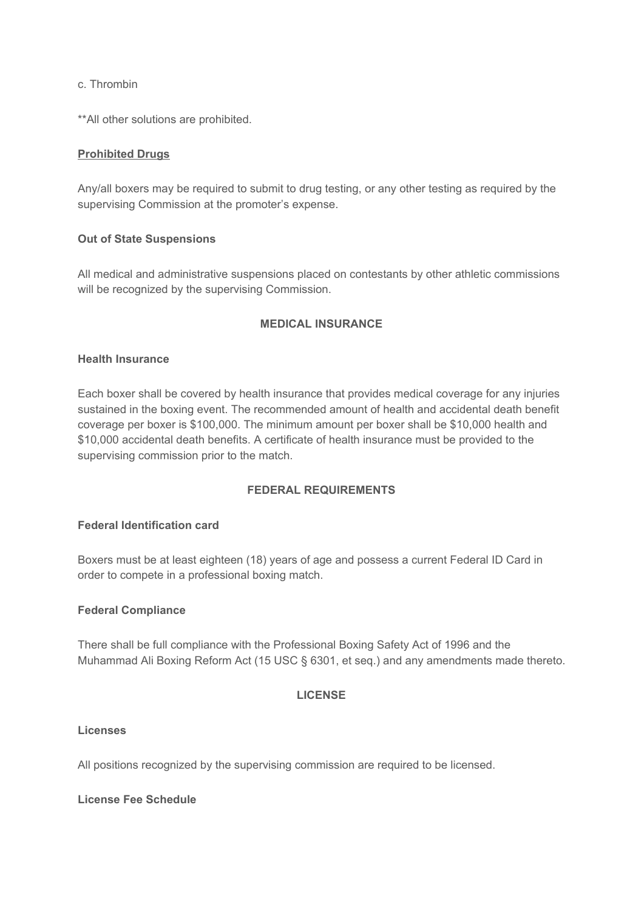c. Thrombin

\*\*All other solutions are prohibited.

### **Prohibited Drugs**

Any/all boxers may be required to submit to drug testing, or any other testing as required by the supervising Commission at the promoter's expense.

### **Out of State Suspensions**

All medical and administrative suspensions placed on contestants by other athletic commissions will be recognized by the supervising Commission.

### **MEDICAL INSURANCE**

### **Health Insurance**

Each boxer shall be covered by health insurance that provides medical coverage for any injuries sustained in the boxing event. The recommended amount of health and accidental death benefit coverage per boxer is \$100,000. The minimum amount per boxer shall be \$10,000 health and \$10,000 accidental death benefits. A certificate of health insurance must be provided to the supervising commission prior to the match.

### **FEDERAL REQUIREMENTS**

### **Federal Identification card**

Boxers must be at least eighteen (18) years of age and possess a current Federal ID Card in order to compete in a professional boxing match.

#### **Federal Compliance**

There shall be full compliance with the Professional Boxing Safety Act of 1996 and the Muhammad Ali Boxing Reform Act (15 USC § 6301, et seq.) and any amendments made thereto.

#### **LICENSE**

#### **Licenses**

All positions recognized by the supervising commission are required to be licensed.

#### **License Fee Schedule**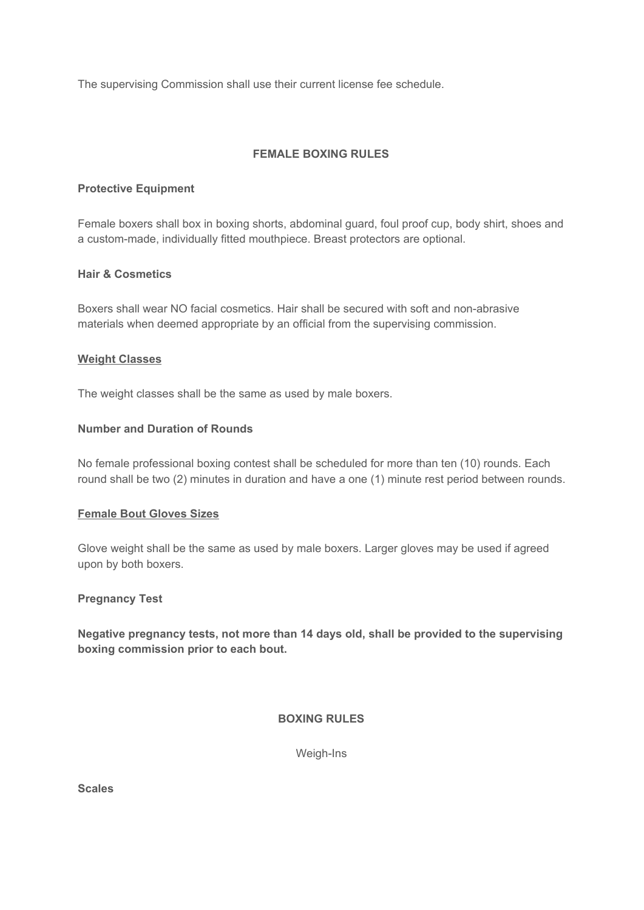The supervising Commission shall use their current license fee schedule.

# **FEMALE BOXING RULES**

# **Protective Equipment**

Female boxers shall box in boxing shorts, abdominal guard, foul proof cup, body shirt, shoes and a custom-made, individually fitted mouthpiece. Breast protectors are optional.

### **Hair & Cosmetics**

Boxers shall wear NO facial cosmetics. Hair shall be secured with soft and non-abrasive materials when deemed appropriate by an official from the supervising commission.

### **Weight Classes**

The weight classes shall be the same as used by male boxers.

### **Number and Duration of Rounds**

No female professional boxing contest shall be scheduled for more than ten (10) rounds. Each round shall be two (2) minutes in duration and have a one (1) minute rest period between rounds.

#### **Female Bout Gloves Sizes**

Glove weight shall be the same as used by male boxers. Larger gloves may be used if agreed upon by both boxers.

### **Pregnancy Test**

**Negative pregnancy tests, not more than 14 days old, shall be provided to the supervising boxing commission prior to each bout.**

**BOXING RULES**

Weigh-Ins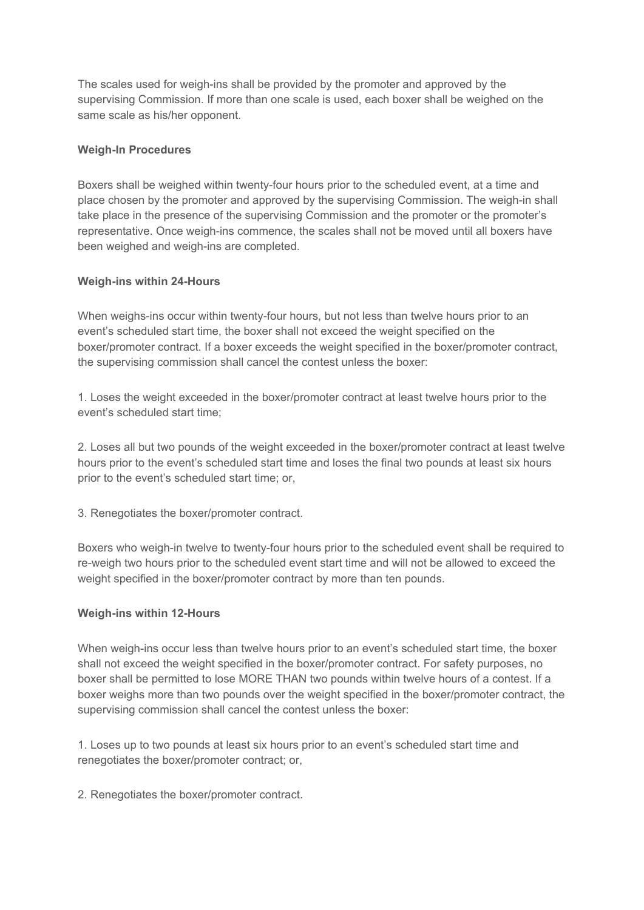The scales used for weigh-ins shall be provided by the promoter and approved by the supervising Commission. If more than one scale is used, each boxer shall be weighed on the same scale as his/her opponent.

### **Weigh-In Procedures**

Boxers shall be weighed within twenty-four hours prior to the scheduled event, at a time and place chosen by the promoter and approved by the supervising Commission. The weigh-in shall take place in the presence of the supervising Commission and the promoter or the promoter's representative. Once weigh-ins commence, the scales shall not be moved until all boxers have been weighed and weigh-ins are completed.

### **Weigh-ins within 24-Hours**

When weighs-ins occur within twenty-four hours, but not less than twelve hours prior to an event's scheduled start time, the boxer shall not exceed the weight specified on the boxer/promoter contract. If a boxer exceeds the weight specified in the boxer/promoter contract, the supervising commission shall cancel the contest unless the boxer:

1. Loses the weight exceeded in the boxer/promoter contract at least twelve hours prior to the event's scheduled start time;

2. Loses all but two pounds of the weight exceeded in the boxer/promoter contract at least twelve hours prior to the event's scheduled start time and loses the final two pounds at least six hours prior to the event's scheduled start time; or,

3. Renegotiates the boxer/promoter contract.

Boxers who weigh-in twelve to twenty-four hours prior to the scheduled event shall be required to re-weigh two hours prior to the scheduled event start time and will not be allowed to exceed the weight specified in the boxer/promoter contract by more than ten pounds.

#### **Weigh-ins within 12-Hours**

When weigh-ins occur less than twelve hours prior to an event's scheduled start time, the boxer shall not exceed the weight specified in the boxer/promoter contract. For safety purposes, no boxer shall be permitted to lose MORE THAN two pounds within twelve hours of a contest. If a boxer weighs more than two pounds over the weight specified in the boxer/promoter contract, the supervising commission shall cancel the contest unless the boxer:

1. Loses up to two pounds at least six hours prior to an event's scheduled start time and renegotiates the boxer/promoter contract; or,

2. Renegotiates the boxer/promoter contract.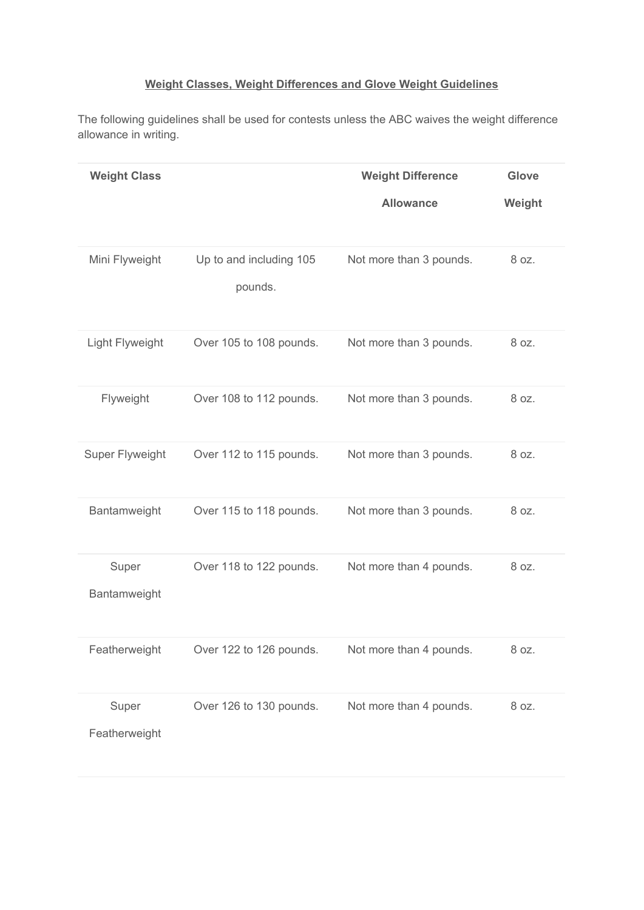# **Weight Classes, Weight Differences and Glove Weight Guidelines**

The following guidelines shall be used for contests unless the ABC waives the weight difference allowance in writing.

| <b>Weight Class</b>    |                                    | <b>Weight Difference</b> | Glove  |
|------------------------|------------------------------------|--------------------------|--------|
|                        |                                    | <b>Allowance</b>         | Weight |
| Mini Flyweight         | Up to and including 105<br>pounds. | Not more than 3 pounds.  | 8 oz.  |
| Light Flyweight        | Over 105 to 108 pounds.            | Not more than 3 pounds.  | 8 oz.  |
| Flyweight              | Over 108 to 112 pounds.            | Not more than 3 pounds.  | 8 oz.  |
| Super Flyweight        | Over 112 to 115 pounds.            | Not more than 3 pounds.  | 8 oz.  |
| Bantamweight           | Over 115 to 118 pounds.            | Not more than 3 pounds.  | 8 oz.  |
| Super<br>Bantamweight  | Over 118 to 122 pounds.            | Not more than 4 pounds.  | 8 oz.  |
| Featherweight          | Over 122 to 126 pounds.            | Not more than 4 pounds.  | 8 oz.  |
| Super<br>Featherweight | Over 126 to 130 pounds.            | Not more than 4 pounds.  | 8 oz.  |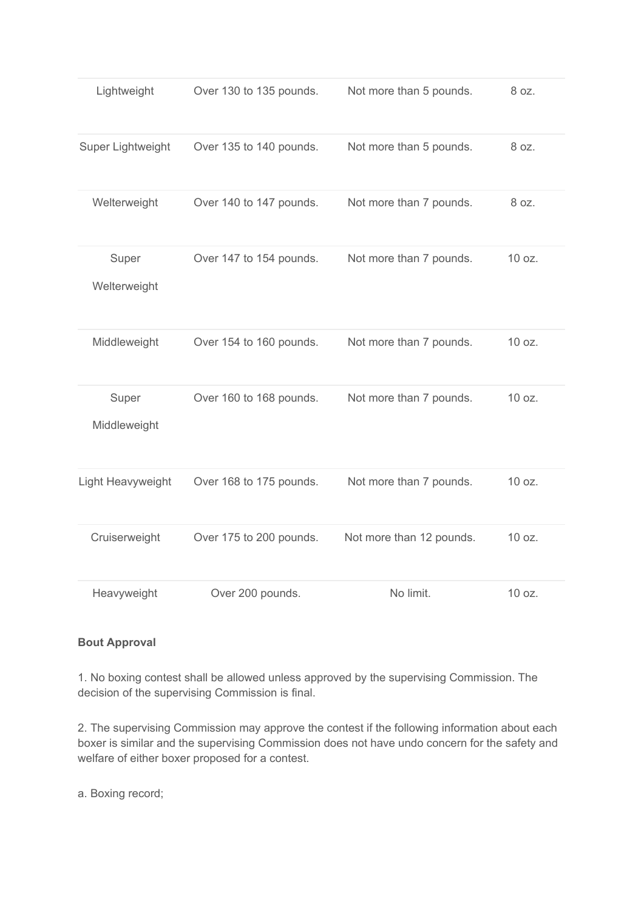| Lightweight           | Over 130 to 135 pounds. | Not more than 5 pounds.  | 8 oz.  |
|-----------------------|-------------------------|--------------------------|--------|
| Super Lightweight     | Over 135 to 140 pounds. | Not more than 5 pounds.  | 8 oz.  |
| Welterweight          | Over 140 to 147 pounds. | Not more than 7 pounds.  | 8 oz.  |
| Super<br>Welterweight | Over 147 to 154 pounds. | Not more than 7 pounds.  | 10 oz. |
| Middleweight          | Over 154 to 160 pounds. | Not more than 7 pounds.  | 10 oz. |
| Super<br>Middleweight | Over 160 to 168 pounds. | Not more than 7 pounds.  | 10 oz. |
| Light Heavyweight     | Over 168 to 175 pounds. | Not more than 7 pounds.  | 10 oz. |
| Cruiserweight         | Over 175 to 200 pounds. | Not more than 12 pounds. | 10 oz. |
| Heavyweight           | Over 200 pounds.        | No limit.                | 10 oz. |

# **Bout Approval**

1. No boxing contest shall be allowed unless approved by the supervising Commission. The decision of the supervising Commission is final.

2. The supervising Commission may approve the contest if the following information about each boxer is similar and the supervising Commission does not have undo concern for the safety and welfare of either boxer proposed for a contest.

a. Boxing record;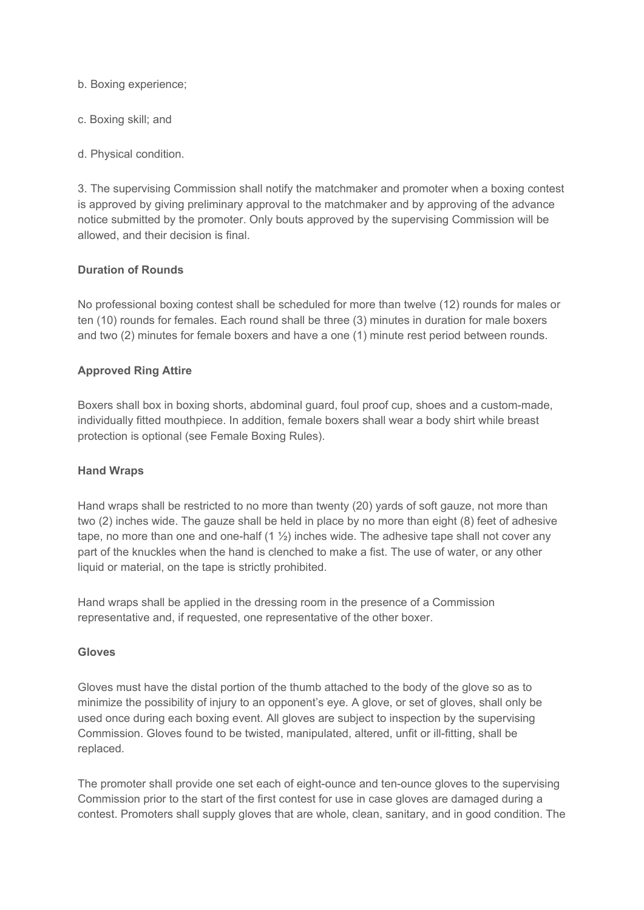b. Boxing experience;

- c. Boxing skill; and
- d. Physical condition.

3. The supervising Commission shall notify the matchmaker and promoter when a boxing contest is approved by giving preliminary approval to the matchmaker and by approving of the advance notice submitted by the promoter. Only bouts approved by the supervising Commission will be allowed, and their decision is final.

### **Duration of Rounds**

No professional boxing contest shall be scheduled for more than twelve (12) rounds for males or ten (10) rounds for females. Each round shall be three (3) minutes in duration for male boxers and two (2) minutes for female boxers and have a one (1) minute rest period between rounds.

### **Approved Ring Attire**

Boxers shall box in boxing shorts, abdominal guard, foul proof cup, shoes and a custom-made, individually fitted mouthpiece. In addition, female boxers shall wear a body shirt while breast protection is optional (see Female Boxing Rules).

#### **Hand Wraps**

Hand wraps shall be restricted to no more than twenty (20) yards of soft gauze, not more than two (2) inches wide. The gauze shall be held in place by no more than eight (8) feet of adhesive tape, no more than one and one-half  $(1 \frac{1}{2})$  inches wide. The adhesive tape shall not cover any part of the knuckles when the hand is clenched to make a fist. The use of water, or any other liquid or material, on the tape is strictly prohibited.

Hand wraps shall be applied in the dressing room in the presence of a Commission representative and, if requested, one representative of the other boxer.

#### **Gloves**

Gloves must have the distal portion of the thumb attached to the body of the glove so as to minimize the possibility of injury to an opponent's eye. A glove, or set of gloves, shall only be used once during each boxing event. All gloves are subject to inspection by the supervising Commission. Gloves found to be twisted, manipulated, altered, unfit or ill-fitting, shall be replaced.

The promoter shall provide one set each of eight-ounce and ten-ounce gloves to the supervising Commission prior to the start of the first contest for use in case gloves are damaged during a contest. Promoters shall supply gloves that are whole, clean, sanitary, and in good condition. The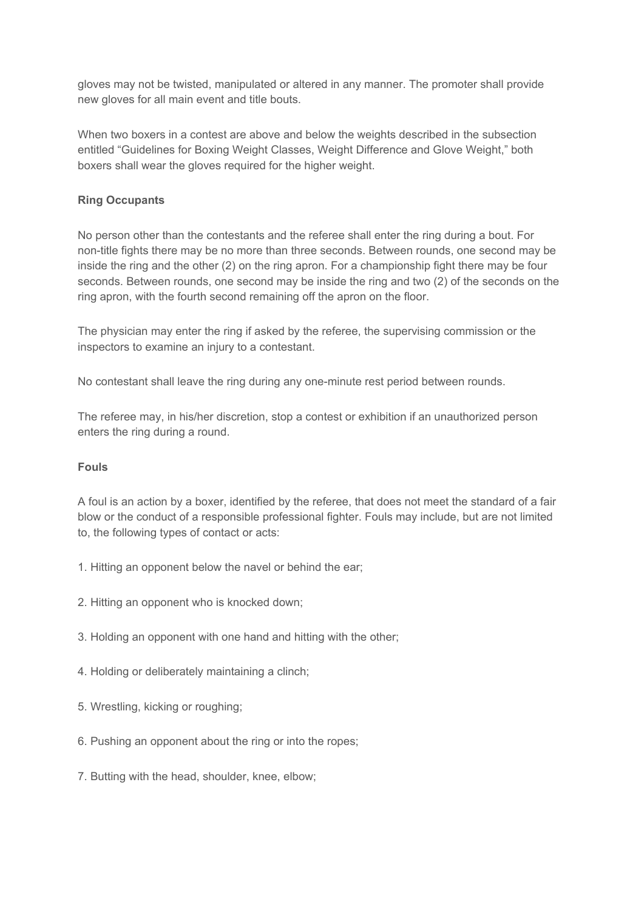gloves may not be twisted, manipulated or altered in any manner. The promoter shall provide new gloves for all main event and title bouts.

When two boxers in a contest are above and below the weights described in the subsection entitled "Guidelines for Boxing Weight Classes, Weight Difference and Glove Weight," both boxers shall wear the gloves required for the higher weight.

# **Ring Occupants**

No person other than the contestants and the referee shall enter the ring during a bout. For non-title fights there may be no more than three seconds. Between rounds, one second may be inside the ring and the other (2) on the ring apron. For a championship fight there may be four seconds. Between rounds, one second may be inside the ring and two (2) of the seconds on the ring apron, with the fourth second remaining off the apron on the floor.

The physician may enter the ring if asked by the referee, the supervising commission or the inspectors to examine an injury to a contestant.

No contestant shall leave the ring during any one-minute rest period between rounds.

The referee may, in his/her discretion, stop a contest or exhibition if an unauthorized person enters the ring during a round.

### **Fouls**

A foul is an action by a boxer, identified by the referee, that does not meet the standard of a fair blow or the conduct of a responsible professional fighter. Fouls may include, but are not limited to, the following types of contact or acts:

- 1. Hitting an opponent below the navel or behind the ear;
- 2. Hitting an opponent who is knocked down;
- 3. Holding an opponent with one hand and hitting with the other;
- 4. Holding or deliberately maintaining a clinch;
- 5. Wrestling, kicking or roughing;
- 6. Pushing an opponent about the ring or into the ropes;
- 7. Butting with the head, shoulder, knee, elbow;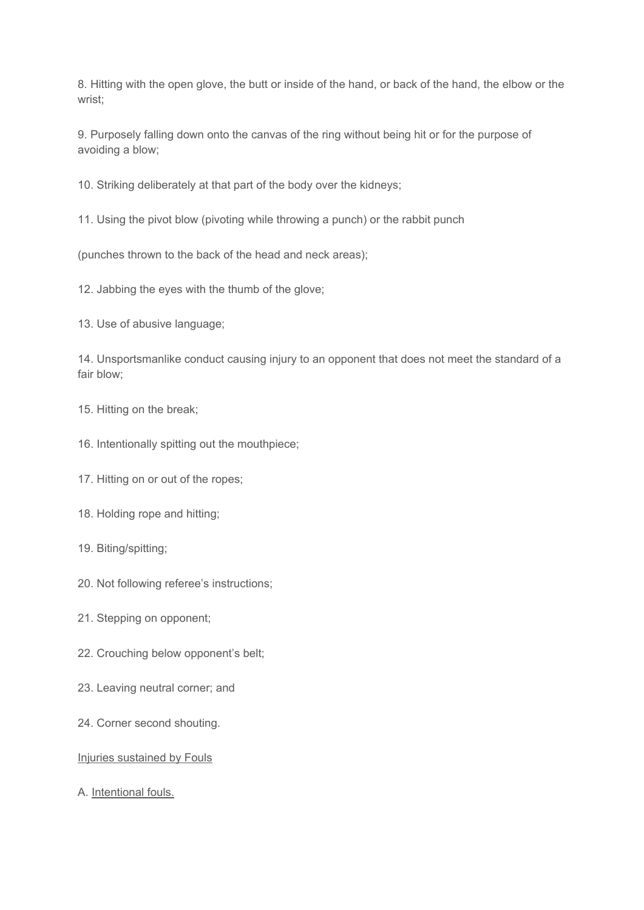8. Hitting with the open glove, the butt or inside of the hand, or back of the hand, the elbow or the wrist;

9. Purposely falling down onto the canvas of the ring without being hit or for the purpose of avoiding a blow;

10. Striking deliberately at that part of the body over the kidneys;

11. Using the pivot blow (pivoting while throwing a punch) or the rabbit punch

(punches thrown to the back of the head and neck areas);

12. Jabbing the eyes with the thumb of the glove;

13. Use of abusive language;

14. Unsportsmanlike conduct causing injury to an opponent that does not meet the standard of a fair blow;

- 15. Hitting on the break;
- 16. Intentionally spitting out the mouthpiece;

17. Hitting on or out of the ropes;

- 18. Holding rope and hitting;
- 19. Biting/spitting;
- 20. Not following referee's instructions;
- 21. Stepping on opponent;
- 22. Crouching below opponent's belt;
- 23. Leaving neutral corner; and
- 24. Corner second shouting.

#### Injuries sustained by Fouls

A. Intentional fouls.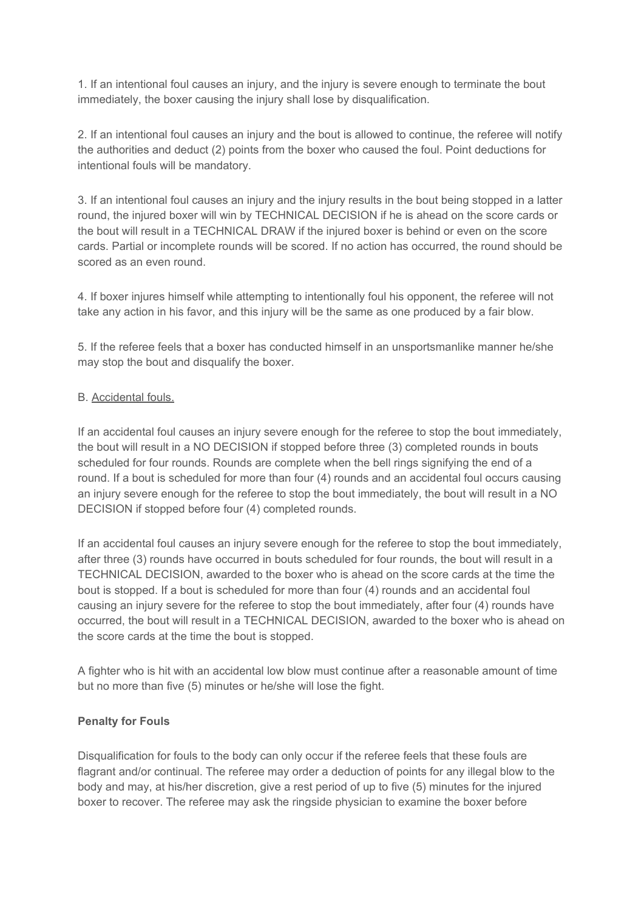1. If an intentional foul causes an injury, and the injury is severe enough to terminate the bout immediately, the boxer causing the injury shall lose by disqualification.

2. If an intentional foul causes an injury and the bout is allowed to continue, the referee will notify the authorities and deduct (2) points from the boxer who caused the foul. Point deductions for intentional fouls will be mandatory.

3. If an intentional foul causes an injury and the injury results in the bout being stopped in a latter round, the injured boxer will win by TECHNICAL DECISION if he is ahead on the score cards or the bout will result in a TECHNICAL DRAW if the injured boxer is behind or even on the score cards. Partial or incomplete rounds will be scored. If no action has occurred, the round should be scored as an even round.

4. If boxer injures himself while attempting to intentionally foul his opponent, the referee will not take any action in his favor, and this injury will be the same as one produced by a fair blow.

5. If the referee feels that a boxer has conducted himself in an unsportsmanlike manner he/she may stop the bout and disqualify the boxer.

### B. Accidental fouls.

If an accidental foul causes an injury severe enough for the referee to stop the bout immediately, the bout will result in a NO DECISION if stopped before three (3) completed rounds in bouts scheduled for four rounds. Rounds are complete when the bell rings signifying the end of a round. If a bout is scheduled for more than four (4) rounds and an accidental foul occurs causing an injury severe enough for the referee to stop the bout immediately, the bout will result in a NO DECISION if stopped before four (4) completed rounds.

If an accidental foul causes an injury severe enough for the referee to stop the bout immediately, after three (3) rounds have occurred in bouts scheduled for four rounds, the bout will result in a TECHNICAL DECISION, awarded to the boxer who is ahead on the score cards at the time the bout is stopped. If a bout is scheduled for more than four (4) rounds and an accidental foul causing an injury severe for the referee to stop the bout immediately, after four (4) rounds have occurred, the bout will result in a TECHNICAL DECISION, awarded to the boxer who is ahead on the score cards at the time the bout is stopped.

A fighter who is hit with an accidental low blow must continue after a reasonable amount of time but no more than five (5) minutes or he/she will lose the fight.

### **Penalty for Fouls**

Disqualification for fouls to the body can only occur if the referee feels that these fouls are flagrant and/or continual. The referee may order a deduction of points for any illegal blow to the body and may, at his/her discretion, give a rest period of up to five (5) minutes for the injured boxer to recover. The referee may ask the ringside physician to examine the boxer before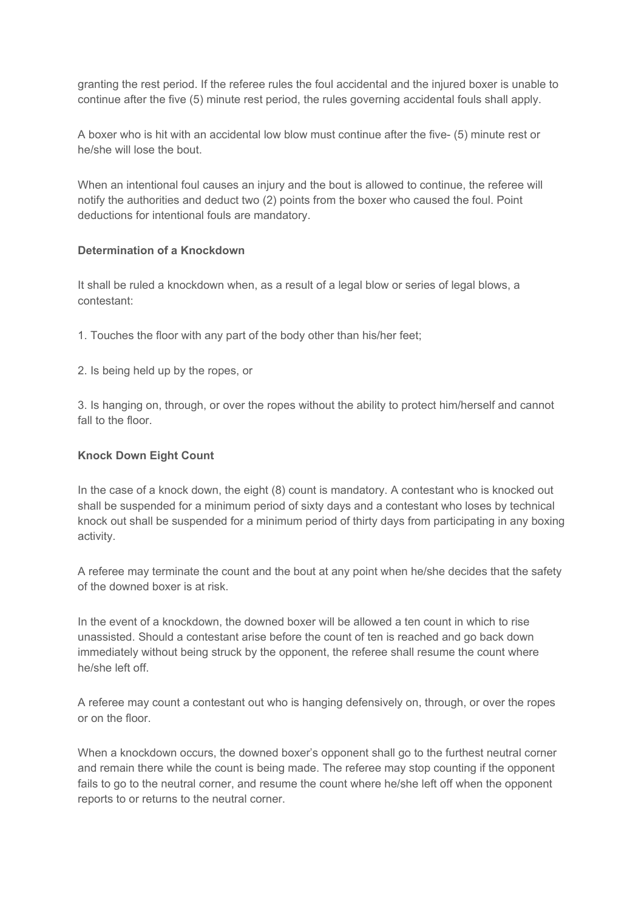granting the rest period. If the referee rules the foul accidental and the injured boxer is unable to continue after the five (5) minute rest period, the rules governing accidental fouls shall apply.

A boxer who is hit with an accidental low blow must continue after the five- (5) minute rest or he/she will lose the bout.

When an intentional foul causes an injury and the bout is allowed to continue, the referee will notify the authorities and deduct two (2) points from the boxer who caused the foul. Point deductions for intentional fouls are mandatory.

### **Determination of a Knockdown**

It shall be ruled a knockdown when, as a result of a legal blow or series of legal blows, a contestant:

- 1. Touches the floor with any part of the body other than his/her feet;
- 2. Is being held up by the ropes, or

3. Is hanging on, through, or over the ropes without the ability to protect him/herself and cannot fall to the floor.

#### **Knock Down Eight Count**

In the case of a knock down, the eight (8) count is mandatory. A contestant who is knocked out shall be suspended for a minimum period of sixty days and a contestant who loses by technical knock out shall be suspended for a minimum period of thirty days from participating in any boxing activity.

A referee may terminate the count and the bout at any point when he/she decides that the safety of the downed boxer is at risk.

In the event of a knockdown, the downed boxer will be allowed a ten count in which to rise unassisted. Should a contestant arise before the count of ten is reached and go back down immediately without being struck by the opponent, the referee shall resume the count where he/she left off.

A referee may count a contestant out who is hanging defensively on, through, or over the ropes or on the floor.

When a knockdown occurs, the downed boxer's opponent shall go to the furthest neutral corner and remain there while the count is being made. The referee may stop counting if the opponent fails to go to the neutral corner, and resume the count where he/she left off when the opponent reports to or returns to the neutral corner.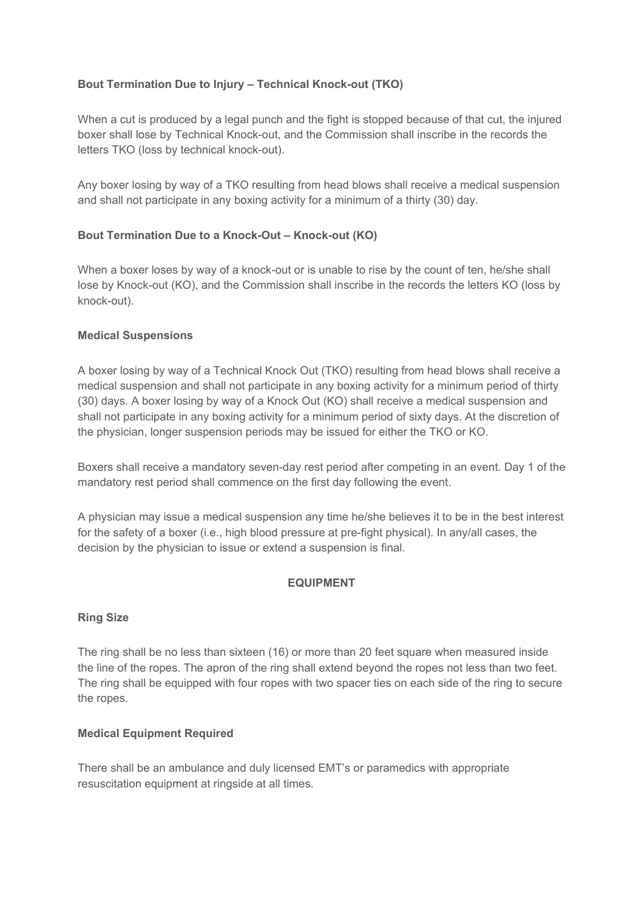# **Bout Termination Due to Injury – Technical Knock-out (TKO)**

When a cut is produced by a legal punch and the fight is stopped because of that cut, the injured boxer shall lose by Technical Knock-out, and the Commission shall inscribe in the records the letters TKO (loss by technical knock-out).

Any boxer losing by way of a TKO resulting from head blows shall receive a medical suspension and shall not participate in any boxing activity for a minimum of a thirty (30) day.

### **Bout Termination Due to a Knock-Out – Knock-out (KO)**

When a boxer loses by way of a knock-out or is unable to rise by the count of ten, he/she shall lose by Knock-out (KO), and the Commission shall inscribe in the records the letters KO (loss by knock-out).

### **Medical Suspensions**

A boxer losing by way of a Technical Knock Out (TKO) resulting from head blows shall receive a medical suspension and shall not participate in any boxing activity for a minimum period of thirty (30) days. A boxer losing by way of a Knock Out (KO) shall receive a medical suspension and shall not participate in any boxing activity for a minimum period of sixty days. At the discretion of the physician, longer suspension periods may be issued for either the TKO or KO.

Boxers shall receive a mandatory seven-day rest period after competing in an event. Day 1 of the mandatory rest period shall commence on the first day following the event.

A physician may issue a medical suspension any time he/she believes it to be in the best interest for the safety of a boxer (i.e., high blood pressure at pre-fight physical). In any/all cases, the decision by the physician to issue or extend a suspension is final.

#### **EQUIPMENT**

#### **Ring Size**

The ring shall be no less than sixteen (16) or more than 20 feet square when measured inside the line of the ropes. The apron of the ring shall extend beyond the ropes not less than two feet. The ring shall be equipped with four ropes with two spacer ties on each side of the ring to secure the ropes.

#### **Medical Equipment Required**

There shall be an ambulance and duly licensed EMT's or paramedics with appropriate resuscitation equipment at ringside at all times.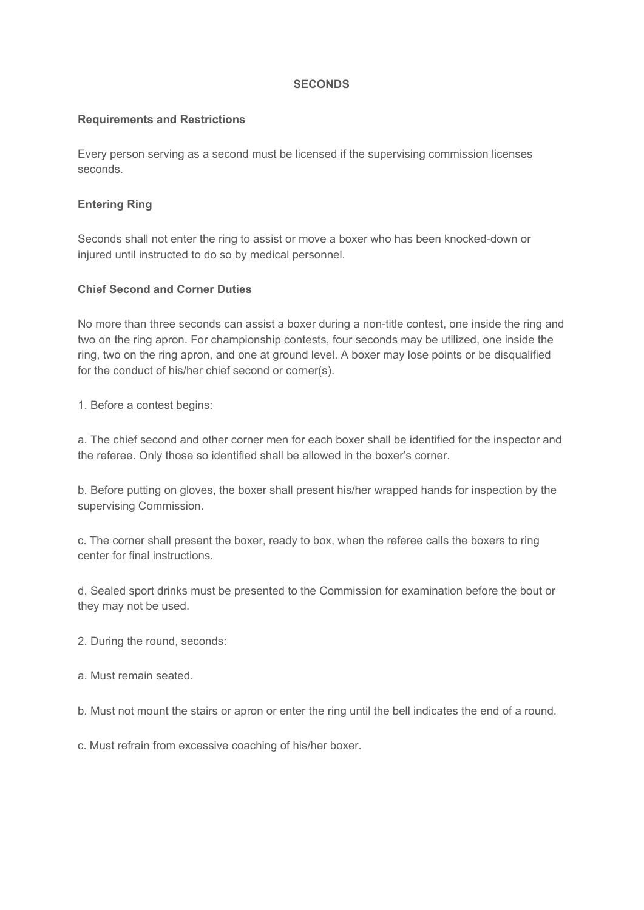### **SECONDS**

### **Requirements and Restrictions**

Every person serving as a second must be licensed if the supervising commission licenses seconds.

### **Entering Ring**

Seconds shall not enter the ring to assist or move a boxer who has been knocked-down or injured until instructed to do so by medical personnel.

### **Chief Second and Corner Duties**

No more than three seconds can assist a boxer during a non-title contest, one inside the ring and two on the ring apron. For championship contests, four seconds may be utilized, one inside the ring, two on the ring apron, and one at ground level. A boxer may lose points or be disqualified for the conduct of his/her chief second or corner(s).

1. Before a contest begins:

a. The chief second and other corner men for each boxer shall be identified for the inspector and the referee. Only those so identified shall be allowed in the boxer's corner.

b. Before putting on gloves, the boxer shall present his/her wrapped hands for inspection by the supervising Commission.

c. The corner shall present the boxer, ready to box, when the referee calls the boxers to ring center for final instructions.

d. Sealed sport drinks must be presented to the Commission for examination before the bout or they may not be used.

- 2. During the round, seconds:
- a. Must remain seated.

b. Must not mount the stairs or apron or enter the ring until the bell indicates the end of a round.

c. Must refrain from excessive coaching of his/her boxer.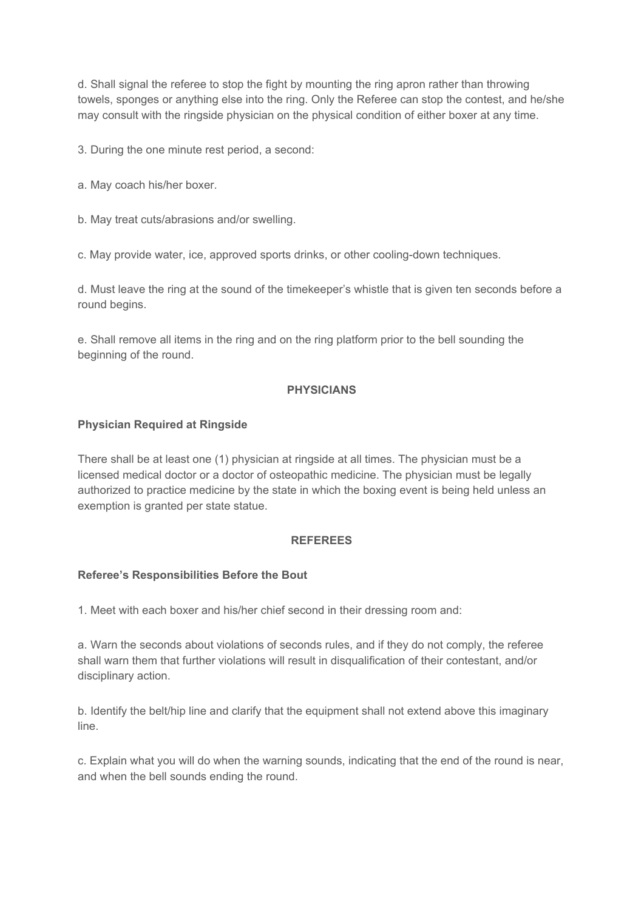d. Shall signal the referee to stop the fight by mounting the ring apron rather than throwing towels, sponges or anything else into the ring. Only the Referee can stop the contest, and he/she may consult with the ringside physician on the physical condition of either boxer at any time.

3. During the one minute rest period, a second:

- a. May coach his/her boxer.
- b. May treat cuts/abrasions and/or swelling.

c. May provide water, ice, approved sports drinks, or other cooling-down techniques.

d. Must leave the ring at the sound of the timekeeper's whistle that is given ten seconds before a round begins.

e. Shall remove all items in the ring and on the ring platform prior to the bell sounding the beginning of the round.

### **PHYSICIANS**

#### **Physician Required at Ringside**

There shall be at least one (1) physician at ringside at all times. The physician must be a licensed medical doctor or a doctor of osteopathic medicine. The physician must be legally authorized to practice medicine by the state in which the boxing event is being held unless an exemption is granted per state statue.

#### **REFEREES**

#### **Referee's Responsibilities Before the Bout**

1. Meet with each boxer and his/her chief second in their dressing room and:

a. Warn the seconds about violations of seconds rules, and if they do not comply, the referee shall warn them that further violations will result in disqualification of their contestant, and/or disciplinary action.

b. Identify the belt/hip line and clarify that the equipment shall not extend above this imaginary line.

c. Explain what you will do when the warning sounds, indicating that the end of the round is near, and when the bell sounds ending the round.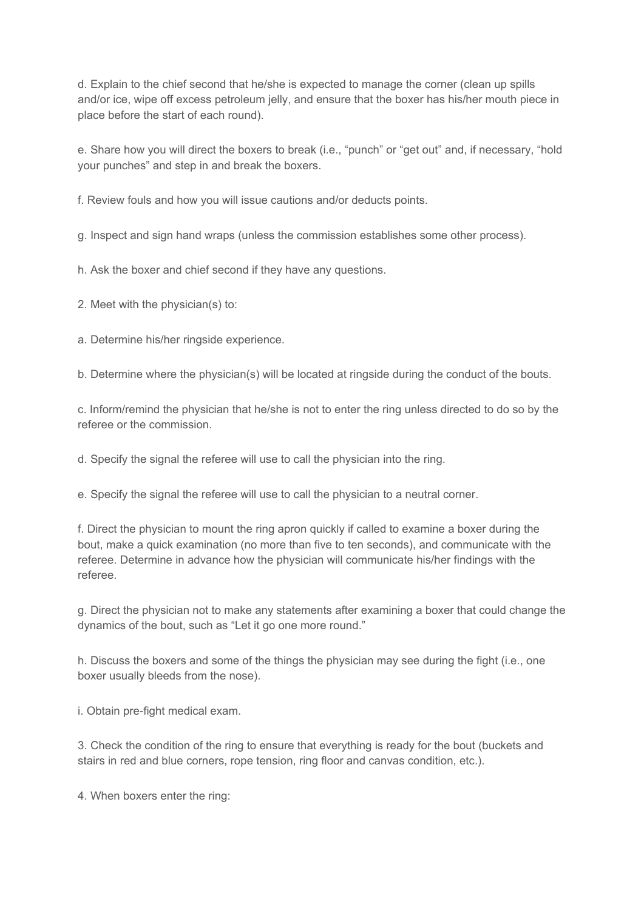d. Explain to the chief second that he/she is expected to manage the corner (clean up spills and/or ice, wipe off excess petroleum jelly, and ensure that the boxer has his/her mouth piece in place before the start of each round).

e. Share how you will direct the boxers to break (i.e., "punch" or "get out" and, if necessary, "hold your punches" and step in and break the boxers.

f. Review fouls and how you will issue cautions and/or deducts points.

g. Inspect and sign hand wraps (unless the commission establishes some other process).

h. Ask the boxer and chief second if they have any questions.

2. Meet with the physician(s) to:

a. Determine his/her ringside experience.

b. Determine where the physician(s) will be located at ringside during the conduct of the bouts.

c. Inform/remind the physician that he/she is not to enter the ring unless directed to do so by the referee or the commission.

d. Specify the signal the referee will use to call the physician into the ring.

e. Specify the signal the referee will use to call the physician to a neutral corner.

f. Direct the physician to mount the ring apron quickly if called to examine a boxer during the bout, make a quick examination (no more than five to ten seconds), and communicate with the referee. Determine in advance how the physician will communicate his/her findings with the referee.

g. Direct the physician not to make any statements after examining a boxer that could change the dynamics of the bout, such as "Let it go one more round."

h. Discuss the boxers and some of the things the physician may see during the fight (i.e., one boxer usually bleeds from the nose).

i. Obtain pre-fight medical exam.

3. Check the condition of the ring to ensure that everything is ready for the bout (buckets and stairs in red and blue corners, rope tension, ring floor and canvas condition, etc.).

4. When boxers enter the ring: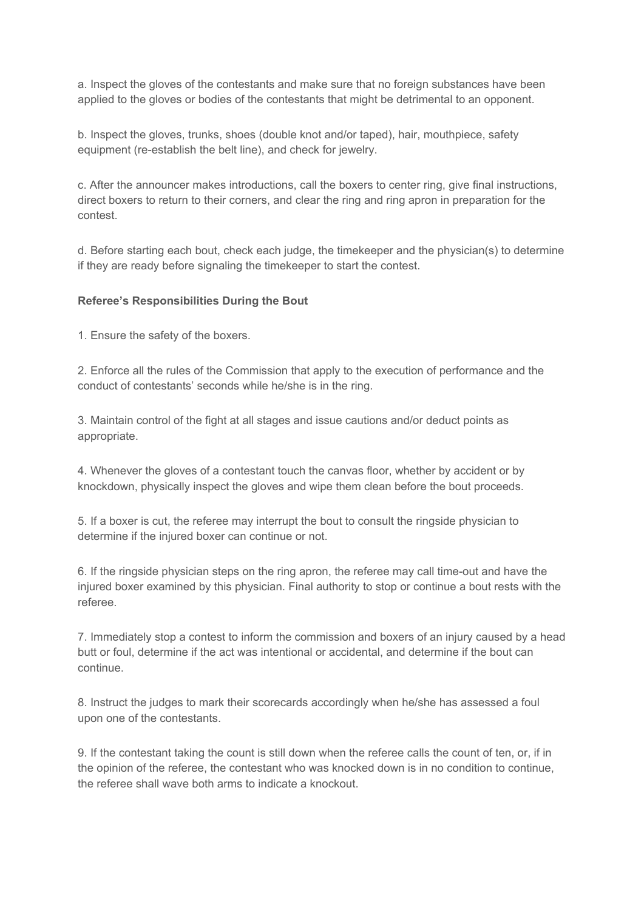a. Inspect the gloves of the contestants and make sure that no foreign substances have been applied to the gloves or bodies of the contestants that might be detrimental to an opponent.

b. Inspect the gloves, trunks, shoes (double knot and/or taped), hair, mouthpiece, safety equipment (re-establish the belt line), and check for jewelry.

c. After the announcer makes introductions, call the boxers to center ring, give final instructions, direct boxers to return to their corners, and clear the ring and ring apron in preparation for the contest.

d. Before starting each bout, check each judge, the timekeeper and the physician(s) to determine if they are ready before signaling the timekeeper to start the contest.

### **Referee's Responsibilities During the Bout**

1. Ensure the safety of the boxers.

2. Enforce all the rules of the Commission that apply to the execution of performance and the conduct of contestants' seconds while he/she is in the ring.

3. Maintain control of the fight at all stages and issue cautions and/or deduct points as appropriate.

4. Whenever the gloves of a contestant touch the canvas floor, whether by accident or by knockdown, physically inspect the gloves and wipe them clean before the bout proceeds.

5. If a boxer is cut, the referee may interrupt the bout to consult the ringside physician to determine if the injured boxer can continue or not.

6. If the ringside physician steps on the ring apron, the referee may call time-out and have the injured boxer examined by this physician. Final authority to stop or continue a bout rests with the referee.

7. Immediately stop a contest to inform the commission and boxers of an injury caused by a head butt or foul, determine if the act was intentional or accidental, and determine if the bout can continue.

8. Instruct the judges to mark their scorecards accordingly when he/she has assessed a foul upon one of the contestants.

9. If the contestant taking the count is still down when the referee calls the count of ten, or, if in the opinion of the referee, the contestant who was knocked down is in no condition to continue, the referee shall wave both arms to indicate a knockout.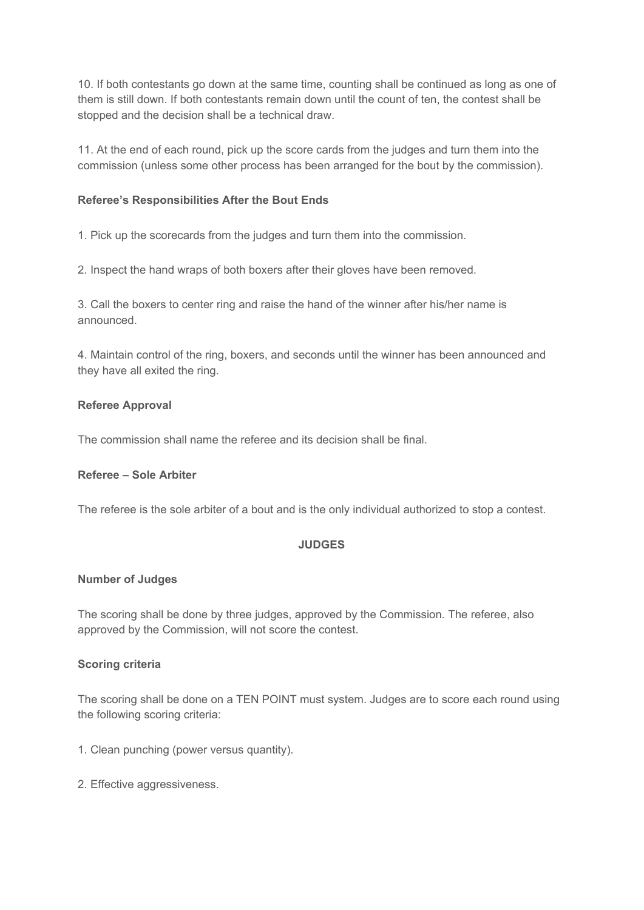10. If both contestants go down at the same time, counting shall be continued as long as one of them is still down. If both contestants remain down until the count of ten, the contest shall be stopped and the decision shall be a technical draw.

11. At the end of each round, pick up the score cards from the judges and turn them into the commission (unless some other process has been arranged for the bout by the commission).

### **Referee's Responsibilities After the Bout Ends**

1. Pick up the scorecards from the judges and turn them into the commission.

2. Inspect the hand wraps of both boxers after their gloves have been removed.

3. Call the boxers to center ring and raise the hand of the winner after his/her name is announced.

4. Maintain control of the ring, boxers, and seconds until the winner has been announced and they have all exited the ring.

### **Referee Approval**

The commission shall name the referee and its decision shall be final.

#### **Referee – Sole Arbiter**

The referee is the sole arbiter of a bout and is the only individual authorized to stop a contest.

#### **JUDGES**

#### **Number of Judges**

The scoring shall be done by three judges, approved by the Commission. The referee, also approved by the Commission, will not score the contest.

#### **Scoring criteria**

The scoring shall be done on a TEN POINT must system. Judges are to score each round using the following scoring criteria:

- 1. Clean punching (power versus quantity).
- 2. Effective aggressiveness.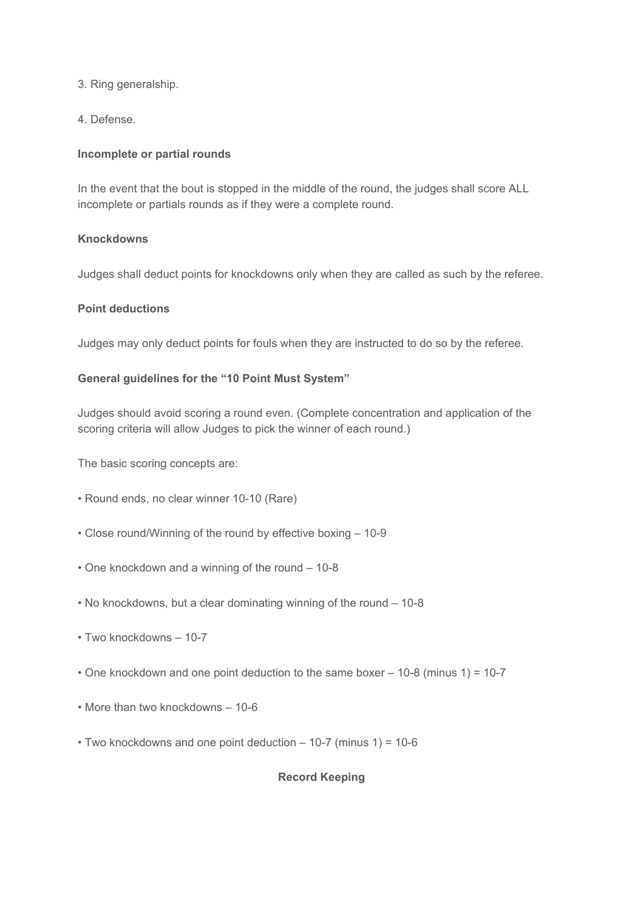3. Ring generalship.

4. Defense.

# **Incomplete or partial rounds**

In the event that the bout is stopped in the middle of the round, the judges shall score ALL incomplete or partials rounds as if they were a complete round.

# **Knockdowns**

Judges shall deduct points for knockdowns only when they are called as such by the referee.

# **Point deductions**

Judges may only deduct points for fouls when they are instructed to do so by the referee.

# **General guidelines for the "10 Point Must System"**

Judges should avoid scoring a round even. (Complete concentration and application of the scoring criteria will allow Judges to pick the winner of each round.)

The basic scoring concepts are:

- Round ends, no clear winner 10-10 (Rare)
- Close round/Winning of the round by effective boxing 10-9
- One knockdown and a winning of the round 10-8
- No knockdowns, but a clear dominating winning of the round 10-8
- Two knockdowns 10-7
- One knockdown and one point deduction to the same boxer 10-8 (minus 1) = 10-7
- More than two knockdowns 10-6
- Two knockdowns and one point deduction 10-7 (minus 1) = 10-6

### **Record Keeping**